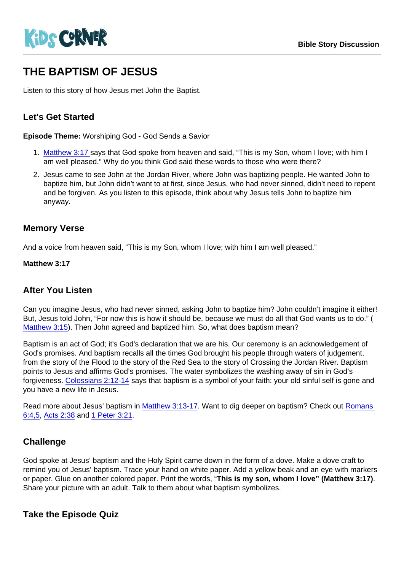# THE BAPTISM OF JESUS

Listen to this story of how Jesus met John the Baptist.

## Let's Get Started

Episode Theme: Worshiping God - God Sends a Savior

- 1. [Matthew 3:17](https://www.biblegateway.com/passage/?search=Matthew+3:17&version=NIV) says that God spoke from heaven and said, "This is my Son, whom I love; with him I am well pleased." Why do you think God said these words to those who were there?
- 2. Jesus came to see John at the Jordan River, where John was baptizing people. He wanted John to baptize him, but John didn't want to at first, since Jesus, who had never sinned, didn't need to repent and be forgiven. As you listen to this episode, think about why Jesus tells John to baptize him anyway.

#### Memory Verse

And a voice from heaven said, "This is my Son, whom I love; with him I am well pleased."

Matthew 3:17

## After You Listen

Can you imagine Jesus, who had never sinned, asking John to baptize him? John couldn't imagine it either! But, Jesus told John, "For now this is how it should be, because we must do all that God wants us to do." ( [Matthew 3:15](https://www.biblegateway.com/passage/?search=Matthew+3:15&version=CEV)). Then John agreed and baptized him. So, what does baptism mean?

Baptism is an act of God; it's God's declaration that we are his. Our ceremony is an acknowledgement of God's promises. And baptism recalls all the times God brought his people through waters of judgement, from the story of the Flood to the story of the Red Sea to the story of Crossing the Jordan River. Baptism points to Jesus and affirms God's promises. The water symbolizes the washing away of sin in God's forgiveness. [Colossians 2:12-14](https://www.biblegateway.com/passage/?search=Colossians+2:12-14&version=CEV) says that baptism is a symbol of your faith: your old sinful self is gone and you have a new life in Jesus.

Read more about Jesus' baptism in [Matthew 3:13-17](https://www.biblegateway.com/passage/?search=matthew+3:+13-17&version=CEV). Want to dig deeper on baptism? Check out [Romans](https://www.biblegateway.com/passage/?search=romans+6:4,5&version=CEV)  [6:4,5](https://www.biblegateway.com/passage/?search=romans+6:4,5&version=CEV), [Acts 2:38](https://www.biblegateway.com/passage/?search=acts+2:38&version=CEV) and [1 Peter 3:21.](https://www.biblegateway.com/passage/?search=1+Peter+3:21&version=NIV)

## **Challenge**

God spoke at Jesus' baptism and the Holy Spirit came down in the form of a dove. Make a dove craft to remind you of Jesus' baptism. Trace your hand on white paper. Add a yellow beak and an eye with markers or paper. Glue on another colored paper. Print the words, "This is my son, whom I love" (Matthew 3:17) . Share your picture with an adult. Talk to them about what baptism symbolizes.

Take the Episode Quiz